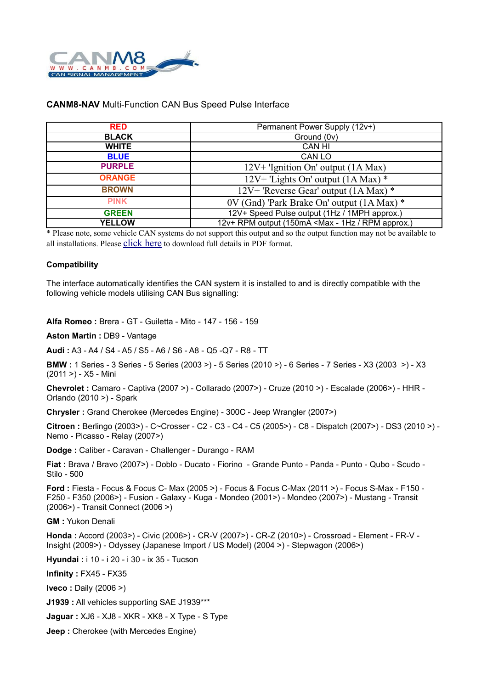

## **CANM8-NAV** Multi-Function CAN Bus Speed Pulse Interface

| <b>RED</b>    | Permanent Power Supply (12v+)                                            |
|---------------|--------------------------------------------------------------------------|
| <b>BLACK</b>  | Ground (0v)                                                              |
| <b>WHITE</b>  | <b>CAN HI</b>                                                            |
| <b>BLUE</b>   | CAN LO                                                                   |
| <b>PURPLE</b> | $12V+$ 'Ignition On' output (1A Max)                                     |
| <b>ORANGE</b> | $12V+$ 'Lights On' output (1A Max) *                                     |
| <b>BROWN</b>  | 12V+ 'Reverse Gear' output (1A Max) *                                    |
| <b>PINK</b>   | 0V (Gnd) 'Park Brake On' output (1A Max) *                               |
| <b>GREEN</b>  | 12V+ Speed Pulse output (1Hz / 1MPH approx.)                             |
| <b>YELLOW</b> | 12v+ RPM output (150mA <max -="" 1hz="" approx.)<="" rpm="" th=""></max> |

\* Please note, some vehicle CAN systems do not support this output and so the output function may not be available to all installations. Please [click here](http://www.canm8.com/product_pdf.php?id=3) to download full details in PDF format.

## **Compatibility**

The interface automatically identifies the CAN system it is installed to and is directly compatible with the following vehicle models utilising CAN Bus signalling:

**Alfa Romeo :** Brera - GT - Guiletta - Mito - 147 - 156 - 159

**Aston Martin :** DB9 - Vantage

**Audi :** A3 - A4 / S4 - A5 / S5 - A6 / S6 - A8 - Q5 -Q7 - R8 - TT

**BMW :** 1 Series - 3 Series - 5 Series (2003 >) - 5 Series (2010 >) - 6 Series - 7 Series - X3 (2003 >) - X3 (2011 >) - X5 - Mini

**Chevrolet :** Camaro - Captiva (2007 >) - Collarado (2007>) - Cruze (2010 >) - Escalade (2006>) - HHR - Orlando (2010 >) - Spark

**Chrysler :** Grand Cherokee (Mercedes Engine) - 300C - Jeep Wrangler (2007>)

**Citroen :** Berlingo (2003>) - C~Crosser - C2 - C3 - C4 - C5 (2005>) - C8 - Dispatch (2007>) - DS3 (2010 >) - Nemo - Picasso - Relay (2007>)

**Dodge :** Caliber - Caravan - Challenger - Durango - RAM

**Fiat :** Brava / Bravo (2007>) - Doblo - Ducato - Fiorino - Grande Punto - Panda - Punto - Qubo - Scudo - Stilo - 500

**Ford :** Fiesta - Focus & Focus C- Max (2005 >) - Focus & Focus C-Max (2011 >) - Focus S-Max - F150 - F250 - F350 (2006>) - Fusion - Galaxy - Kuga - Mondeo (2001>) - Mondeo (2007>) - Mustang - Transit (2006>) - Transit Connect (2006 >)

**GM :** Yukon Denali

**Honda :** Accord (2003>) - Civic (2006>) - CR-V (2007>) - CR-Z (2010>) - Crossroad - Element - FR-V - Insight (2009>) - Odyssey (Japanese Import / US Model) (2004 >) - Stepwagon (2006>)

**Hyundai :** i 10 - i 20 - i 30 - ix 35 - Tucson

**Infinity :** FX45 - FX35

**Iveco :** Daily (2006 >)

**J1939 :** All vehicles supporting SAE J1939\*\*\*

**Jaguar :** XJ6 - XJ8 - XKR - XK8 - X Type - S Type

**Jeep :** Cherokee (with Mercedes Engine)